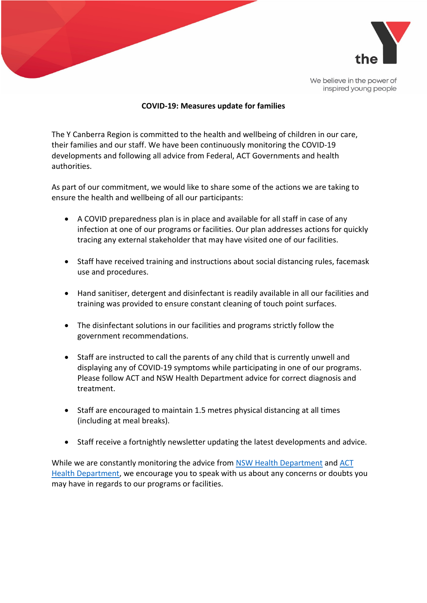

We believe in the power of inspired young people

## **COVID-19: Measures update for families**

The Y Canberra Region is committed to the health and wellbeing of children in our care, their families and our staff. We have been continuously monitoring the COVID-19 developments and following all advice from Federal, ACT Governments and health authorities.

As part of our commitment, we would like to share some of the actions we are taking to ensure the health and wellbeing of all our participants:

- A COVID preparedness plan is in place and available for all staff in case of any infection at one of our programs or facilities. Our plan addresses actions for quickly tracing any external stakeholder that may have visited one of our facilities.
- Staff have received training and instructions about social distancing rules, facemask use and procedures.
- Hand sanitiser, detergent and disinfectant is readily available in all our facilities and training was provided to ensure constant cleaning of touch point surfaces.
- The disinfectant solutions in our facilities and programs strictly follow the government recommendations.
- Staff are instructed to call the parents of any child that is currently unwell and displaying any of COVID-19 symptoms while participating in one of our programs. Please follow ACT and NSW Health Department advice for correct diagnosis and treatment.
- Staff are encouraged to maintain 1.5 metres physical distancing at all times (including at meal breaks).
- Staff receive a fortnightly newsletter updating the latest developments and advice.

While we are constantly monitoring the advice from [NSW Health Department](http://health.nsw.gov.au/) and ACT [Health Department,](https://www.health.act.gov.au/) we encourage you to speak with us about any concerns or doubts you may have in regards to our programs or facilities.